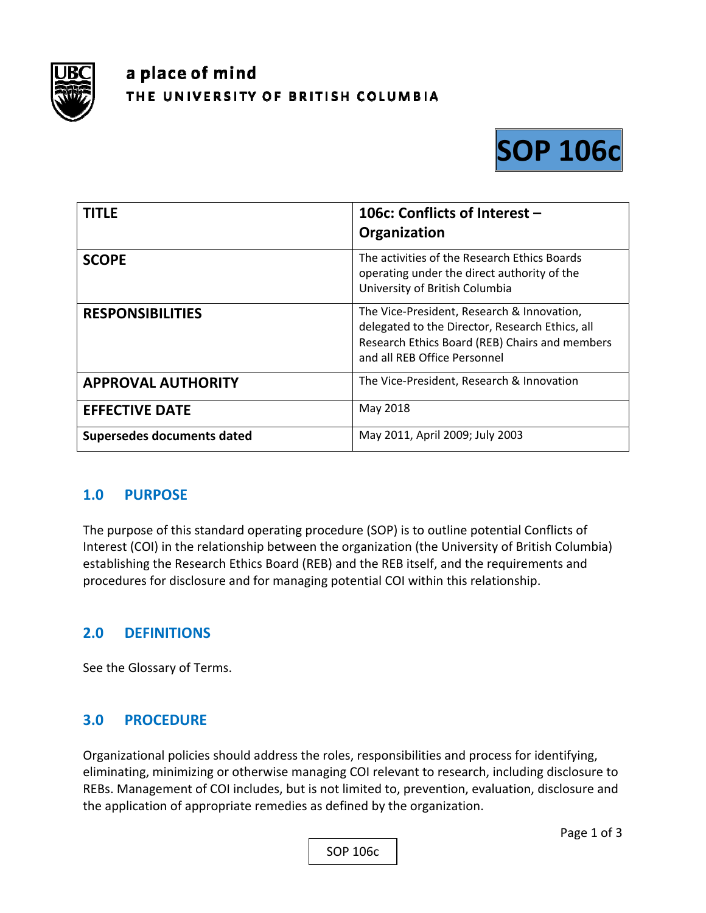

# a place of mind THE UNIVERSITY OF BRITISH COLUMBIA



| <b>TITLE</b>               | 106c: Conflicts of Interest -<br>Organization                                                                                                                                   |
|----------------------------|---------------------------------------------------------------------------------------------------------------------------------------------------------------------------------|
| <b>SCOPE</b>               | The activities of the Research Ethics Boards<br>operating under the direct authority of the<br>University of British Columbia                                                   |
| <b>RESPONSIBILITIES</b>    | The Vice-President, Research & Innovation,<br>delegated to the Director, Research Ethics, all<br>Research Ethics Board (REB) Chairs and members<br>and all REB Office Personnel |
| <b>APPROVAL AUTHORITY</b>  | The Vice-President, Research & Innovation                                                                                                                                       |
| <b>EFFECTIVE DATE</b>      | May 2018                                                                                                                                                                        |
| Supersedes documents dated | May 2011, April 2009; July 2003                                                                                                                                                 |

#### **1.0 PURPOSE**

The purpose of this standard operating procedure (SOP) is to outline potential Conflicts of Interest (COI) in the relationship between the organization (the University of British Columbia) establishing the Research Ethics Board (REB) and the REB itself, and the requirements and procedures for disclosure and for managing potential COI within this relationship.

## **2.0 DEFINITIONS**

See the Glossary of Terms.

#### **3.0 PROCEDURE**

Organizational policies should address the roles, responsibilities and process for identifying, eliminating, minimizing or otherwise managing COI relevant to research, including disclosure to REBs. Management of COI includes, but is not limited to, prevention, evaluation, disclosure and the application of appropriate remedies as defined by the organization.

SOP 106c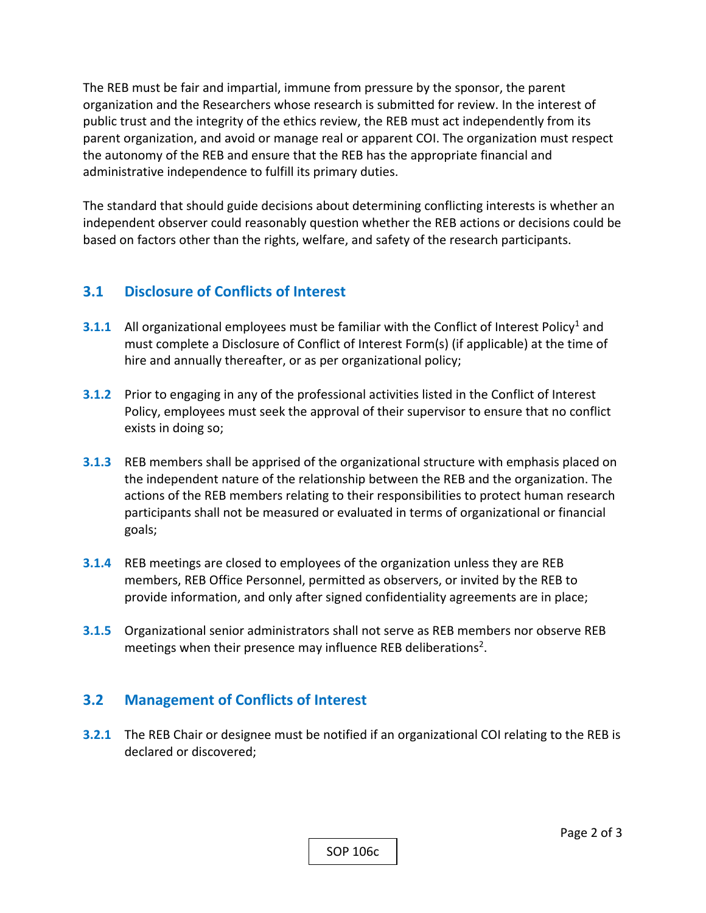The REB must be fair and impartial, immune from pressure by the sponsor, the parent organization and the Researchers whose research is submitted for review. In the interest of public trust and the integrity of the ethics review, the REB must act independently from its parent organization, and avoid or manage real or apparent COI. The organization must respect the autonomy of the REB and ensure that the REB has the appropriate financial and administrative independence to fulfill its primary duties.

The standard that should guide decisions about determining conflicting interests is whether an independent observer could reasonably question whether the REB actions or decisions could be based on factors other than the rights, welfare, and safety of the research participants.

### **3.1 Disclosure of Conflicts of Interest**

- **3.1.1** All organizational employees must be familiar with the Conflict of Interest Policy<sup>1</sup> and must complete a Disclosure of Conflict of Interest Form(s) (if applicable) at the time of hire and annually thereafter, or as per organizational policy;
- **3.1.2** Prior to engaging in any of the professional activities listed in the Conflict of Interest Policy, employees must seek the approval of their supervisor to ensure that no conflict exists in doing so;
- **3.1.3** REB members shall be apprised of the organizational structure with emphasis placed on the independent nature of the relationship between the REB and the organization. The actions of the REB members relating to their responsibilities to protect human research participants shall not be measured or evaluated in terms of organizational or financial goals;
- **3.1.4** REB meetings are closed to employees of the organization unless they are REB members, REB Office Personnel, permitted as observers, or invited by the REB to provide information, and only after signed confidentiality agreements are in place;
- **3.1.5** Organizational senior administrators shall not serve as REB members nor observe REB meetings when their presence may influence REB deliberations<sup>2</sup>.

#### **3.2 Management of Conflicts of Interest**

**3.2.1** The REB Chair or designee must be notified if an organizational COI relating to the REB is declared or discovered;